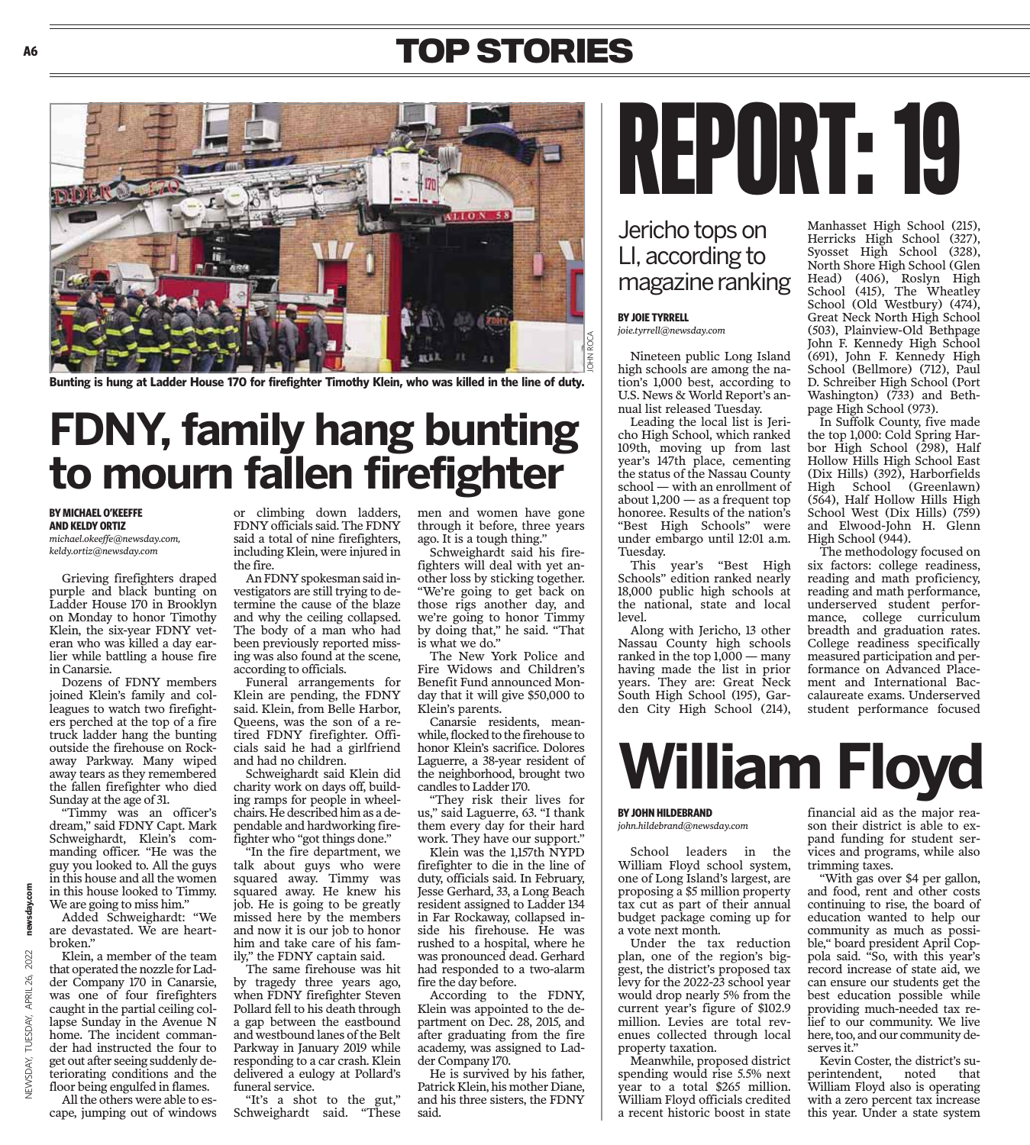### **TOP STORIES**



**Bunting is hung at Ladder House 170 for firefighter Timothy Klein, who was killed in the line of duty.**

## **FDNY, family hang bunting to mourn fallen firefighter**

#### **BY MICHAEL O'KEEFFE AND KELDY ORTIZ**

**A6**

*michael.okeeffe@newsday.com, keldy.ortiz@newsday.com*

Grieving firefighters draped purple and black bunting on Ladder House 170 in Brooklyn on Monday to honor Timothy Klein, the six-year FDNY veteran who was killed a day earlier while battling a house fire in Canarsie.

Dozens of FDNY members joined Klein's family and colleagues to watch two firefighters perched at the top of a fire truck ladder hang the bunting outside the firehouse on Rockaway Parkway. Many wiped away tears as they remembered the fallen firefighter who died Sunday at the age of 31.

"Timmy was an officer's dream," said FDNY Capt. Mark Schweighardt, Klein's commanding officer. "He was the guy you looked to. All the guys in this house and all the women in this house looked to Timmy. We are going to miss him."

Added Schweighardt: "We are devastated. We are heartbroken."

Klein, a member of the team that operated the nozzle for Ladder Company 170 in Canarsie, was one of four firefighters caught in the partial ceiling collapse Sunday in the Avenue N home. The incident commander had instructed the four to get out after seeing suddenly deteriorating conditions and the floor being engulfed in flames.

All the others were able to escape, jumping out of windows or climbing down ladders, FDNY officials said. The FDNY said a total of nine firefighters, including Klein, were injured in the fire.

An FDNY spokesman said investigators are still trying to determine the cause of the blaze and why the ceiling collapsed. The body of a man who had been previously reported missing was also found at the scene, according to officials.

Funeral arrangements for Klein are pending, the FDNY said. Klein, from Belle Harbor, Queens, was the son of a retired FDNY firefighter. Officials said he had a girlfriend and had no children.

Schweighardt said Klein did charity work on days off, building ramps for people in wheelchairs. He described him as a dependable and hardworking firefighter who "got things done."

"In the fire department, we talk about guys who were squared away. Timmy was squared away. He knew his job. He is going to be greatly missed here by the members and now it is our job to honor him and take care of his family," the FDNY captain said.

The same firehouse was hit by tragedy three years ago, when FDNY firefighter Steven Pollard fell to his death through a gap between the eastbound and westbound lanes of the Belt Parkway in January 2019 while responding to a car crash. Klein delivered a eulogy at Pollard's funeral service.

"It's a shot to the gut," Schweighardt said. "These men and women have gone through it before, three years ago. It is a tough thing."

Schweighardt said his firefighters will deal with yet another loss by sticking together. "We're going to get back on those rigs another day, and we're going to honor Timmy by doing that," he said. "That is what we do."

The New York Police and Fire Widows and Children's Benefit Fund announced Monday that it will give \$50,000 to Klein's parents.

Canarsie residents, meanwhile, flocked to the firehouse to honor Klein's sacrifice. Dolores Laguerre, a 38-year resident of the neighborhood, brought two candles to Ladder 170.

"They risk their lives for us," said Laguerre, 63. "I thank them every day for their hard work. They have our support."

Klein was the 1,157th NYPD firefighter to die in the line of duty, officials said. In February, Jesse Gerhard, 33, a Long Beach resident assigned to Ladder 134 in Far Rockaway, collapsed inside his firehouse. He was rushed to a hospital, where he was pronounced dead. Gerhard had responded to a two-alarm fire the day before.

According to the FDNY, Klein was appointed to the department on Dec. 28, 2015, and after graduating from the fire academy, was assigned to Ladder Company 170.

He is survived by his father, Patrick Klein, his mother Diane, and his three sisters, the FDNY said.

# REPORT: 19

#### Jericho tops on LI, according to magazine ranking

#### **BY JOIE TYRRELL**

*joie.tyrrell@newsday.com*

Nineteen public Long Island high schools are among the nation's 1,000 best, according to U.S. News & World Report's annual list released Tuesday.

Leading the local list is Jericho High School, which ranked 109th, moving up from last year's 147th place, cementing the status of the Nassau County school — with an enrollment of about  $1,200$  — as a frequent top honoree. Results of the nation's "Best High Schools" were under embargo until 12:01 a.m. Tuesday.

This year's "Best High Schools" edition ranked nearly 18,000 public high schools at the national, state and local level.

Along with Jericho, 13 other Nassau County high schools ranked in the top  $1,000 - \text{many}$ having made the list in prior years. They are: Great Neck South High School (195), Garden City High School (214),

Manhasset High School (215), Herricks High School (327), Syosset High School (328), North Shore High School (Glen Head) (406), Roslyn High School (415), The Wheatley School (Old Westbury) (474), Great Neck North High School (503), Plainview-Old Bethpage John F. Kennedy High School (691), John F. Kennedy High School (Bellmore) (712), Paul D. Schreiber High School (Port Washington) (733) and Bethpage High School (973).

In Suffolk County, five made the top 1,000: Cold Spring Harbor High School (298), Half Hollow Hills High School East (Dix Hills) (392), Harborfields High School (Greenlawn) (564), Half Hollow Hills High School West (Dix Hills) (759) and Elwood-John H. Glenn High School (944).

The methodology focused on six factors: college readiness, reading and math proficiency, reading and math performance, underserved student performance, college curriculum breadth and graduation rates. College readiness specifically measured participation and performance on Advanced Placement and International Baccalaureate exams. Underserved student performance focused

## **William Floyd**

#### **BY JOHN HILDEBRAND**

#### *john.hildebrand@newsday.com*

School leaders in the William Floyd school system, one of Long Island's largest, are proposing a \$5 million property tax cut as part of their annual budget package coming up for a vote next month.

Under the tax reduction plan, one of the region's biggest, the district's proposed tax levy for the 2022-23 school year would drop nearly 5% from the current year's figure of \$102.9 million. Levies are total revenues collected through local property taxation.

Meanwhile, proposed district spending would rise 5.5% next year to a total \$265 million. William Floyd officials credited a recent historic boost in state

financial aid as the major reason their district is able to expand funding for student services and programs, while also trimming taxes.

"With gas over \$4 per gallon, and food, rent and other costs continuing to rise, the board of education wanted to help our community as much as possible," board president April Coppola said. "So, with this year's record increase of state aid, we can ensure our students get the best education possible while providing much-needed tax relief to our community. We live here, too, and our community deserves it."

Kevin Coster, the district's su-<br>erintendent, noted that perintendent, William Floyd also is operating with a zero percent tax increase this year. Under a state system